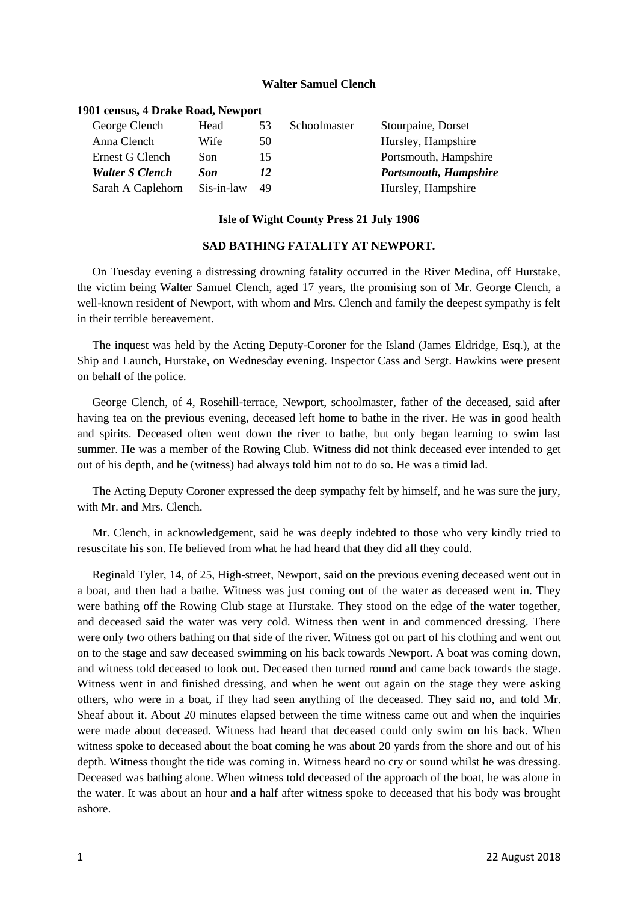## **Walter Samuel Clench**

## **1901 census, 4 Drake Road, Newport**

| George Clench          | Head       | 53 | Schoolmaster | Stourpaine, Dorset           |
|------------------------|------------|----|--------------|------------------------------|
| Anna Clench            | Wife       | 50 |              | Hursley, Hampshire           |
| Ernest G Clench        | Son        | 15 |              | Portsmouth, Hampshire        |
| <b>Walter S Clench</b> | Son        | 12 |              | <b>Portsmouth, Hampshire</b> |
| Sarah A Caplehorn      | Sis-in-law | 49 |              | Hursley, Hampshire           |

## **Isle of Wight County Press 21 July 1906**

## **SAD BATHING FATALITY AT NEWPORT.**

On Tuesday evening a distressing drowning fatality occurred in the River Medina, off Hurstake, the victim being Walter Samuel Clench, aged 17 years, the promising son of Mr. George Clench, a well-known resident of Newport, with whom and Mrs. Clench and family the deepest sympathy is felt in their terrible bereavement.

The inquest was held by the Acting Deputy-Coroner for the Island (James Eldridge, Esq.), at the Ship and Launch, Hurstake, on Wednesday evening. Inspector Cass and Sergt. Hawkins were present on behalf of the police.

George Clench, of 4, Rosehill-terrace, Newport, schoolmaster, father of the deceased, said after having tea on the previous evening, deceased left home to bathe in the river. He was in good health and spirits. Deceased often went down the river to bathe, but only began learning to swim last summer. He was a member of the Rowing Club. Witness did not think deceased ever intended to get out of his depth, and he (witness) had always told him not to do so. He was a timid lad.

The Acting Deputy Coroner expressed the deep sympathy felt by himself, and he was sure the jury, with Mr. and Mrs. Clench.

Mr. Clench, in acknowledgement, said he was deeply indebted to those who very kindly tried to resuscitate his son. He believed from what he had heard that they did all they could.

Reginald Tyler, 14, of 25, High-street, Newport, said on the previous evening deceased went out in a boat, and then had a bathe. Witness was just coming out of the water as deceased went in. They were bathing off the Rowing Club stage at Hurstake. They stood on the edge of the water together, and deceased said the water was very cold. Witness then went in and commenced dressing. There were only two others bathing on that side of the river. Witness got on part of his clothing and went out on to the stage and saw deceased swimming on his back towards Newport. A boat was coming down, and witness told deceased to look out. Deceased then turned round and came back towards the stage. Witness went in and finished dressing, and when he went out again on the stage they were asking others, who were in a boat, if they had seen anything of the deceased. They said no, and told Mr. Sheaf about it. About 20 minutes elapsed between the time witness came out and when the inquiries were made about deceased. Witness had heard that deceased could only swim on his back. When witness spoke to deceased about the boat coming he was about 20 yards from the shore and out of his depth. Witness thought the tide was coming in. Witness heard no cry or sound whilst he was dressing. Deceased was bathing alone. When witness told deceased of the approach of the boat, he was alone in the water. It was about an hour and a half after witness spoke to deceased that his body was brought ashore.